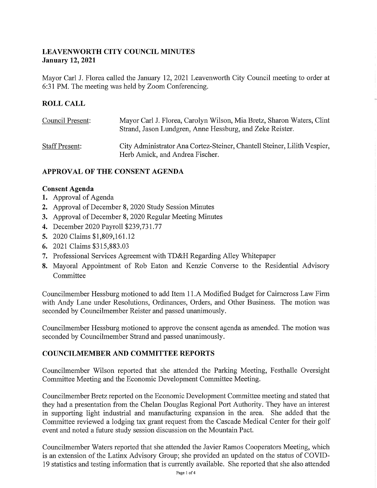### **LEAVENWORTH CITY COUNCIL MINUTES January 12, 2021**

Mayor Carl J. Florea called the January I2, 202I Leavenworth City Council meeting to order at 6:31 PM. The meeting was held by Zoom Conferencing.

# **ROLL CALL**

| Council Present:      | Mayor Carl J. Florea, Carolyn Wilson, Mia Bretz, Sharon Waters, Clint<br>Strand, Jason Lundgren, Anne Hessburg, and Zeke Reister. |
|-----------------------|-----------------------------------------------------------------------------------------------------------------------------------|
| <b>Staff Present:</b> | City Administrator Ana Cortez-Steiner, Chantell Steiner, Lilith Vespier,<br>Herb Amick, and Andrea Fischer.                       |

## **APPROVAL OF THE CONSENT AGENDA**

#### **Consent Agenda**

- **1.** Approval of Agenda
- **2.** Approval of December 8, 2020 Study Session Minutes
- 3. Approval of December 8, 2020 Regular Meeting Minutes
- 4. December 2020 Payroll \$239,731.77
- **5.** 2020 Claims \$I,809,I61.I2
- **6.** 202I Claims \$3I5,883.03
- 7. Professional Services Agreement with TD&H Regarding Alley Whitepaper
- **8.** Mayoral Appointment of Rob Eaton and Kenzie Converse to the Residential Advisory Committee

Councilmember Hessburg motioned to add Item I I .A Modified Budget for Caimcross Law Firm with Andy Lane under Resolutions, Ordinances, Orders, and Other Business. The motion was seconded by Councilmember Reister and passed unanimously.

Councilmember Hessburg motioned to approve the consent agenda as amended. The motion was seconded by Councilmember Strand and passed unanimously.

### **COUNCILMEMBER AND COMMITTEE REPORTS**

Councilmember Wilson reported that she attended the Parking Meeting, Festhalle Oversight Committee Meeting and the Economic Development Committee Meeting.

Councilmember Bretz reported on the Economic Development Committee meeting and stated that they had a presentation from the Chelan Douglas Regional Port Authority. They have an interest in supporting light industrial and manufacturing expansion in the area. She added that the Committee reviewed a lodging tax grant request from the Cascade Medical Center for their golf event and noted a future study session discussion on the Mountain Pact.

Councilmember Waters reported that she attended the Javier Ramos Cooperators Meeting, which is an extension of the Latinx Advisory Group; she provided an updated on the status of COVID-19 statistics and testing information that is currently available. She reported that she also attended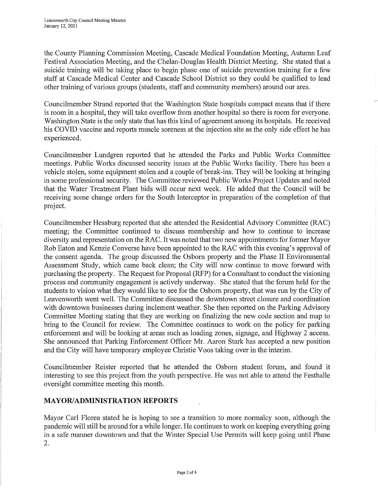the County Planning Commission Meeting, Cascade Medical Foundation Meeting, Autumn Leaf Festival Association Meeting, and the Chelan-Douglas Health District Meeting. She stated that a suicide training will be taking place to begin phase one of suicide prevention training for a few staff at Cascade Medical Center and Cascade School District so they could be qualified to lead other training of various groups (students, staff and community members) around our area.

Councilmember Strand reported that the Washington State hospitals compact means that if there is room in a hospital, they will take overflow from another hospital so there is room for everyone. Washington State is the only state that has this kind of agreement among its hospitals. He received his COVID vaccine and reports muscle soreness at the injection site as the only side effect he has experienced.

Councilmember Lundgren reported that he attended the Parks and Public Works Committee meetings. Public Works discussed security issues at the Public Works facility. There has been a vehicle stolen, some equipment stolen and a couple of break-ins. They will be looking at bringing in some professional security. The Committee reviewed Public Works Project Updates and noted that the Water Treatment Plant bids will occur next week. He added that the Council will be receiving some change orders for the South Interceptor in preparation of the completion of that project.

Councilmember Hessburg reported that she attended the Residential Advisory Committee (RAC) meeting; the Committee continued to discuss membership and how to continue to increase diversity and representation on the RAC. It was noted that two new appointments for former Mayor Rob Eaton and Kenzie Converse have been appointed to the RAC with this evening's approval of the consent agenda. The group discussed the Osborn property and the Phase II Environmental Assessment Study, which came back clean; the City will now continue to move forward with purchasing the property. The Request for Proposal (RFP) for a Consultant to conduct the visioning process and community engagement is actively underway. She stated that the forum held for the students to vision what they would like to see for the Osborn property, that was run by the City of Leavenworth went well. The Committee discussed the downtown street closure and coordination with downtown businesses during inclement weather. She then reported on the Parking Advisory Committee Meeting stating that they are working on finalizing the new code section and map to bring to the Council for review. The Committee continues to work on the policy for parking enforcement and will be looking at areas such as loading zones, signage, and Highway 2 access. She announced that Parking Enforcement Officer Mr. Aaron Stark has accepted a new position and the City will have temporary employee Christie Voos taking over in the interim.

Councilmember Reister reported that he attended the Osborn student forum, and found it interesting to see this project from the youth perspective. He was not able to attend the Festhalle oversight committee meeting this month.

### **MAYOR/ADMINISTRATION REPORTS**

Mayor Carl Florea stated he is hoping to see a transition to more normalcy soon, although the pandemic will still be around for a while longer. He continues to work on keeping everything going in a safe manner downtown and that the Winter Special Use Permits will keep going until Phase 2.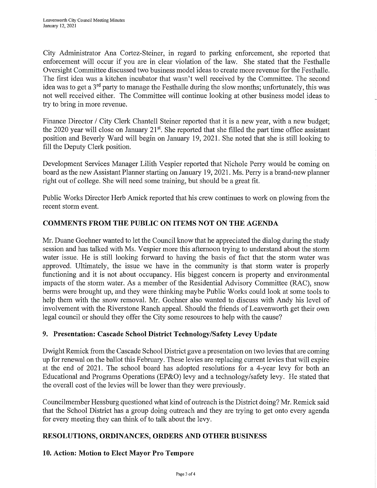City Administrator Ana Cortez-Steiner, in regard to parking enforcement, she reported that enforcement will occur if you are in clear violation of the law. She stated that the Festhalle Oversight Committee discussed two business model ideas to create more revenue for the Festhalle. The first idea was a kitchen incubator that wasn't well received by the Committee. The second idea was to get a 3<sup>rd</sup> party to manage the Festhalle during the slow months; unfortunately, this was not well received either. The Committee will continue looking at other business model ideas to try to bring in more revenue.

Finance Director / City Clerk Chantell Steiner reported that it is a new year, with a new budget; the 2020 year will close on January  $21^{st}$ . She reported that she filled the part time office assistant position and Beverly Ward will begin on January 19, 2021. She noted that she is still looking to fill the Deputy Clerk position.

Development Services Manager Lilith Vespier reported that Nichole Perry would be coming on board as the new Assistant Planner starting on January 19, 2021. Ms. Peny is a brand-new planner right out of college. She will need some training, but should be a great fit.

Public Works Director Herb Amick reported that his crew continues to work on plowing from the recent storm event.

### **COMMENTS FROM THE PUBLIC ON ITEMS NOT ON THE AGENDA**

Mr. Duane Goehner wanted to let the Council know that he appreciated the dialog during the study session and has talked with Ms. Vespier more this afternoon trying to understand about the storm water issue. He is still looking forward to having the basis of fact that the storm water was approved. Ultimately, the issue we have in the community is that storm water is properly functioning and it is not about occupancy. His biggest concern is property and environmental impacts of the storm water. As a member of the Residential Advisory Committee (RAC), snow berms were brought up, and they were thinking maybe Public Works could look at some tools to help them with the snow removal. Mr. Goehner also wanted to discuss with Andy his level of involvement with the Riverstone Ranch appeal. Should the friends of Leavenworth get their own legal council or should they offer the City some resources to help with the cause?

#### **9. Presentation: Cascade School District Technology/Safety Levey Update**

Dwight Remick from the Cascade School District gave a presentation on two levies that are coming up for renewal on the ballot this February. These levies are replacing current levies that will expire at the end of 2021. The school board has adopted resolutions for a 4-year levy for both an Educational and Programs Operations (EP&O) levy and a technology/safety levy. He stated that the overall cost of the levies will be lower than they were previously.

Councilmember Hessburg questioned what kind of outreach is the District doing? Mr. Remick said that the School District has a group doing outreach and they are trying to get onto every agenda for every meeting they can think of to talk about the levy.

### **RESOLUTIONS, ORDINANCES, ORDERS AND OTHER BUSINESS**

#### **10. Action: Motion to Elect Mayor Pro Tempore**